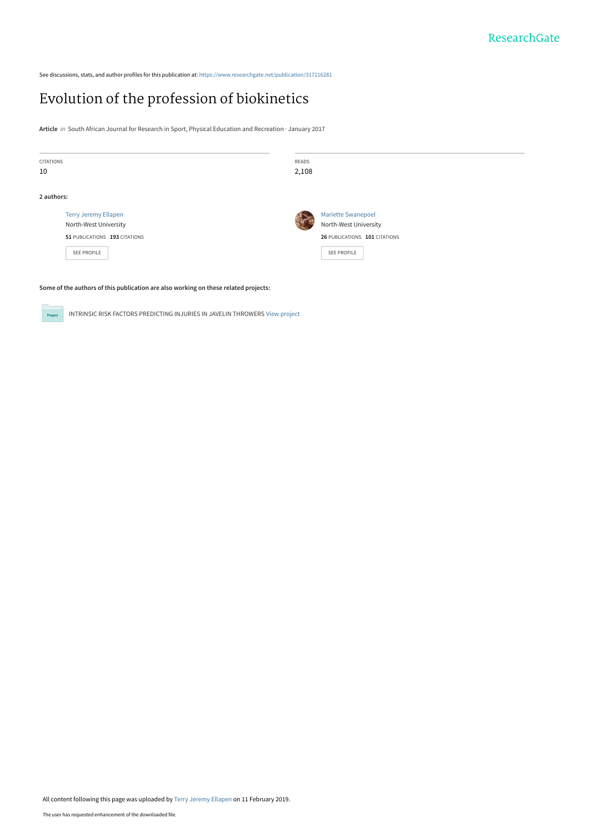See discussions, stats, and author profiles for this publication at: [https://www.researchgate.net/publication/317216281](https://www.researchgate.net/publication/317216281_Evolution_of_the_profession_of_biokinetics?enrichId=rgreq-5794a90842500c1d352c0f6bf3bd7aa5-XXX&enrichSource=Y292ZXJQYWdlOzMxNzIxNjI4MTtBUzo3MjUwMzk0NTIyNjI0MDJAMTU0OTg3NDI4NDU2NQ%3D%3D&el=1_x_2&_esc=publicationCoverPdf)

# [Evolution of the profession of biokinetics](https://www.researchgate.net/publication/317216281_Evolution_of_the_profession_of_biokinetics?enrichId=rgreq-5794a90842500c1d352c0f6bf3bd7aa5-XXX&enrichSource=Y292ZXJQYWdlOzMxNzIxNjI4MTtBUzo3MjUwMzk0NTIyNjI0MDJAMTU0OTg3NDI4NDU2NQ%3D%3D&el=1_x_3&_esc=publicationCoverPdf)

**Article** in South African Journal for Research in Sport, Physical Education and Recreation · January 2017

| <b>CITATIONS</b><br>10 |                                                                                                             | READS<br>2,108                                                                                     |  |
|------------------------|-------------------------------------------------------------------------------------------------------------|----------------------------------------------------------------------------------------------------|--|
| 2 authors:             |                                                                                                             |                                                                                                    |  |
|                        | <b>Terry Jeremy Ellapen</b><br>North-West University<br>51 PUBLICATIONS 193 CITATIONS<br><b>SEE PROFILE</b> | <b>Mariette Swanepoel</b><br>North-West University<br>26 PUBLICATIONS 101 CITATIONS<br>SEE PROFILE |  |
|                        |                                                                                                             |                                                                                                    |  |

**Some of the authors of this publication are also working on these related projects:**

**Project** 

INTRINSIC RISK FACTORS PREDICTING INJURIES IN JAVELIN THROWERS [View project](https://www.researchgate.net/project/INTRINSIC-RISK-FACTORS-PREDICTING-INJURIES-IN-JAVELIN-THROWERS?enrichId=rgreq-5794a90842500c1d352c0f6bf3bd7aa5-XXX&enrichSource=Y292ZXJQYWdlOzMxNzIxNjI4MTtBUzo3MjUwMzk0NTIyNjI0MDJAMTU0OTg3NDI4NDU2NQ%3D%3D&el=1_x_9&_esc=publicationCoverPdf)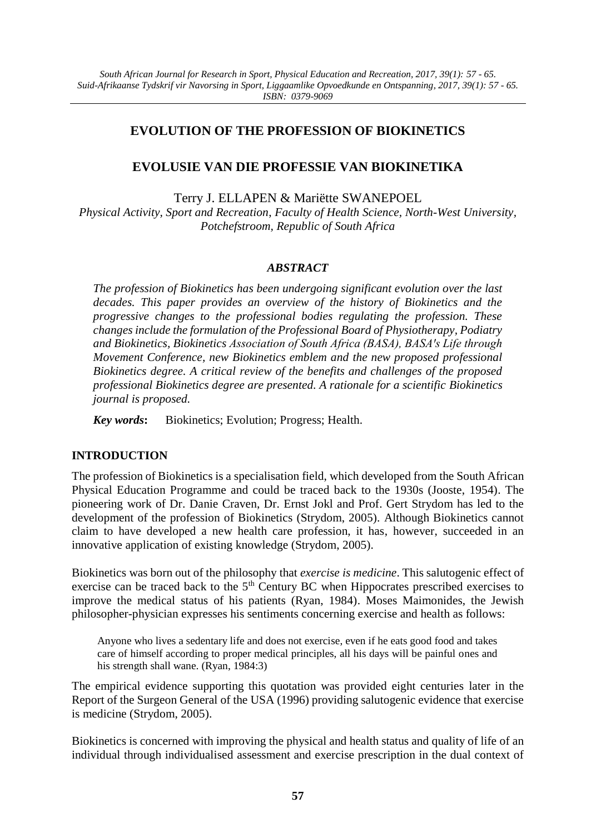# **EVOLUTION OF THE PROFESSION OF BIOKINETICS**

## **EVOLUSIE VAN DIE PROFESSIE VAN BIOKINETIKA**

Terry J. ELLAPEN & Mariëtte SWANEPOEL

*Physical Activity, Sport and Recreation*, *Faculty of Health Science, North-West University, Potchefstroom, Republic of South Africa*

### *ABSTRACT*

*The profession of Biokinetics has been undergoing significant evolution over the last decades. This paper provides an overview of the history of Biokinetics and the progressive changes to the professional bodies regulating the profession. These changes include the formulation of the Professional Board of Physiotherapy, Podiatry and Biokinetics, Biokinetics Association of South Africa (BASA), BASAꞌs Life through Movement Conference, new Biokinetics emblem and the new proposed professional Biokinetics degree. A critical review of the benefits and challenges of the proposed professional Biokinetics degree are presented. A rationale for a scientific Biokinetics journal is proposed.* 

*Key words***:** Biokinetics; Evolution; Progress; Health.

## **INTRODUCTION**

The profession of Biokinetics is a specialisation field, which developed from the South African Physical Education Programme and could be traced back to the 1930s (Jooste, 1954). The pioneering work of Dr. Danie Craven, Dr. Ernst Jokl and Prof. Gert Strydom has led to the development of the profession of Biokinetics (Strydom, 2005). Although Biokinetics cannot claim to have developed a new health care profession, it has, however, succeeded in an innovative application of existing knowledge (Strydom, 2005).

Biokinetics was born out of the philosophy that *exercise is medicine*. This salutogenic effect of exercise can be traced back to the 5<sup>th</sup> Century BC when Hippocrates prescribed exercises to improve the medical status of his patients (Ryan, 1984). Moses Maimonides, the Jewish philosopher-physician expresses his sentiments concerning exercise and health as follows:

Anyone who lives a sedentary life and does not exercise, even if he eats good food and takes care of himself according to proper medical principles, all his days will be painful ones and his strength shall wane. (Ryan, 1984:3)

The empirical evidence supporting this quotation was provided eight centuries later in the Report of the Surgeon General of the USA (1996) providing salutogenic evidence that exercise is medicine (Strydom, 2005).

Biokinetics is concerned with improving the physical and health status and quality of life of an individual through individualised assessment and exercise prescription in the dual context of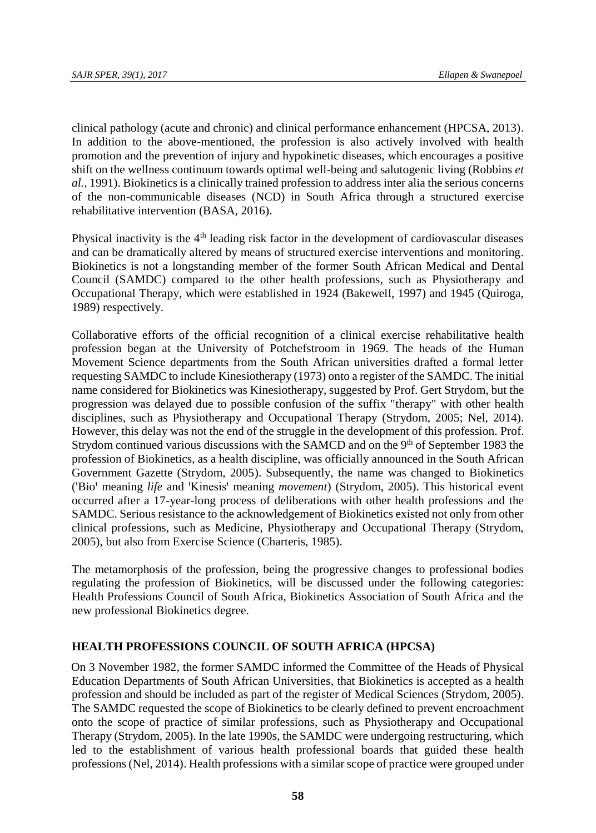clinical pathology (acute and chronic) and clinical performance enhancement (HPCSA, 2013). In addition to the above-mentioned, the profession is also actively involved with health promotion and the prevention of injury and hypokinetic diseases, which encourages a positive shift on the wellness continuum towards optimal well-being and salutogenic living (Robbins *et al.,* 1991). Biokinetics is a clinically trained profession to address inter alia the serious concerns of the non-communicable diseases (NCD) in South Africa through a structured exercise rehabilitative intervention (BASA, 2016).

Physical inactivity is the  $4<sup>th</sup>$  leading risk factor in the development of cardiovascular diseases and can be dramatically altered by means of structured exercise interventions and monitoring. Biokinetics is not a longstanding member of the former South African Medical and Dental Council (SAMDC) compared to the other health professions, such as Physiotherapy and Occupational Therapy, which were established in 1924 (Bakewell, 1997) and 1945 (Quiroga, 1989) respectively.

Collaborative efforts of the official recognition of a clinical exercise rehabilitative health profession began at the University of Potchefstroom in 1969. The heads of the Human Movement Science departments from the South African universities drafted a formal letter requesting SAMDC to include Kinesiotherapy (1973) onto a register of the SAMDC. The initial name considered for Biokinetics was Kinesiotherapy, suggested by Prof. Gert Strydom, but the progression was delayed due to possible confusion of the suffix "therapy" with other health disciplines, such as Physiotherapy and Occupational Therapy (Strydom, 2005; Nel, 2014). However, this delay was not the end of the struggle in the development of this profession. Prof. Strydom continued various discussions with the SAMCD and on the 9<sup>th</sup> of September 1983 the profession of Biokinetics, as a health discipline, was officially announced in the South African Government Gazette (Strydom, 2005). Subsequently, the name was changed to Biokinetics ('Bio' meaning *life* and 'Kinesis' meaning *movement*) (Strydom, 2005). This historical event occurred after a 17-year-long process of deliberations with other health professions and the SAMDC. Serious resistance to the acknowledgement of Biokinetics existed not only from other clinical professions, such as Medicine, Physiotherapy and Occupational Therapy (Strydom, 2005), but also from Exercise Science (Charteris, 1985).

The metamorphosis of the profession, being the progressive changes to professional bodies regulating the profession of Biokinetics, will be discussed under the following categories: Health Professions Council of South Africa, Biokinetics Association of South Africa and the new professional Biokinetics degree.

# **HEALTH PROFESSIONS COUNCIL OF SOUTH AFRICA (HPCSA)**

On 3 November 1982, the former SAMDC informed the Committee of the Heads of Physical Education Departments of South African Universities, that Biokinetics is accepted as a health profession and should be included as part of the register of Medical Sciences (Strydom, 2005). The SAMDC requested the scope of Biokinetics to be clearly defined to prevent encroachment onto the scope of practice of similar professions, such as Physiotherapy and Occupational Therapy (Strydom, 2005). In the late 1990s, the SAMDC were undergoing restructuring, which led to the establishment of various health professional boards that guided these health professions (Nel, 2014). Health professions with a similar scope of practice were grouped under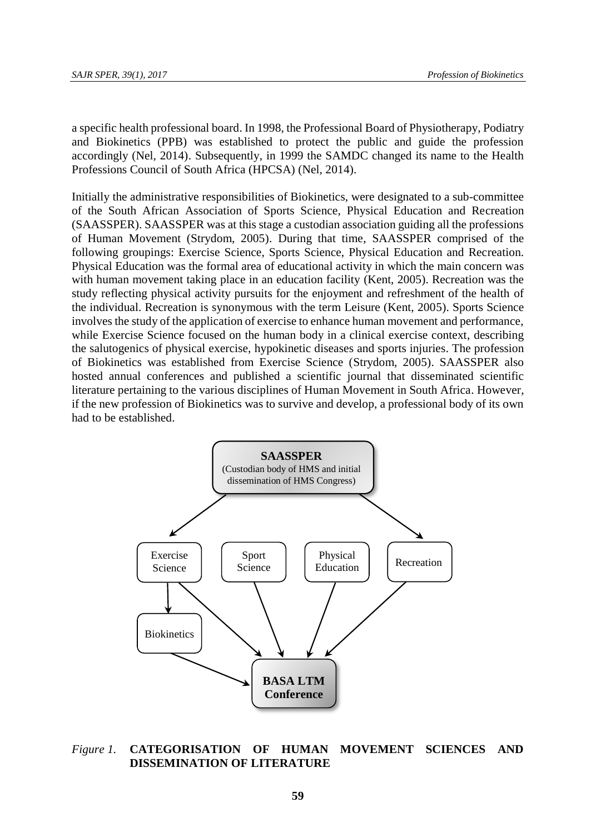a specific health professional board. In 1998, the Professional Board of Physiotherapy, Podiatry and Biokinetics (PPB) was established to protect the public and guide the profession accordingly (Nel, 2014). Subsequently, in 1999 the SAMDC changed its name to the Health Professions Council of South Africa (HPCSA) (Nel, 2014).

Initially the administrative responsibilities of Biokinetics, were designated to a sub-committee of the South African Association of Sports Science, Physical Education and Recreation (SAASSPER). SAASSPER was at this stage a custodian association guiding all the professions of Human Movement (Strydom, 2005). During that time, SAASSPER comprised of the following groupings: Exercise Science, Sports Science, Physical Education and Recreation. Physical Education was the formal area of educational activity in which the main concern was with human movement taking place in an education facility (Kent, 2005). Recreation was the study reflecting physical activity pursuits for the enjoyment and refreshment of the health of the individual. Recreation is synonymous with the term Leisure (Kent, 2005). Sports Science involves the study of the application of exercise to enhance human movement and performance, while Exercise Science focused on the human body in a clinical exercise context, describing the salutogenics of physical exercise, hypokinetic diseases and sports injuries. The profession of Biokinetics was established from Exercise Science (Strydom, 2005). SAASSPER also hosted annual conferences and published a scientific journal that disseminated scientific literature pertaining to the various disciplines of Human Movement in South Africa. However, if the new profession of Biokinetics was to survive and develop, a professional body of its own had to be established.



## *Figure 1.* **CATEGORISATION OF HUMAN MOVEMENT SCIENCES AND DISSEMINATION OF LITERATURE**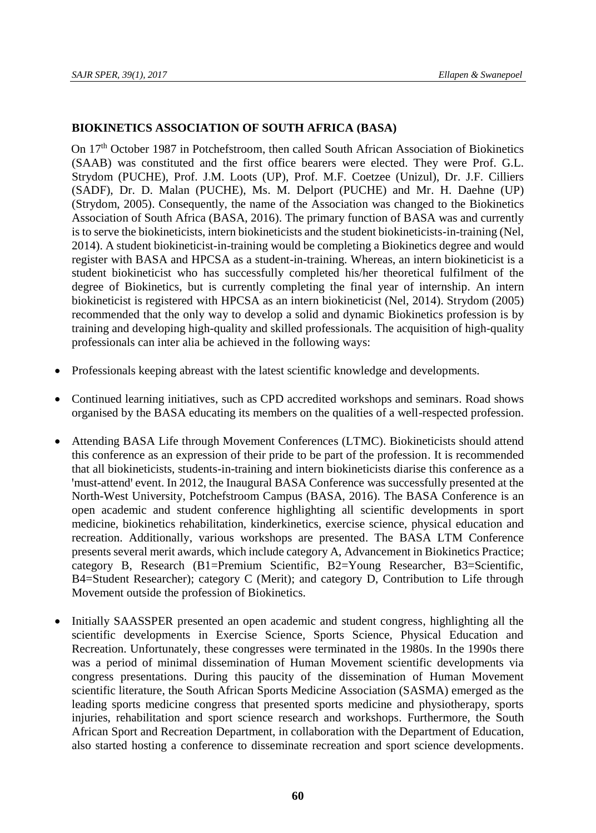## **BIOKINETICS ASSOCIATION OF SOUTH AFRICA (BASA)**

On  $17<sup>th</sup>$  October 1987 in Potchefstroom, then called South African Association of Biokinetics (SAAB) was constituted and the first office bearers were elected. They were Prof. G.L. Strydom (PUCHE), Prof. J.M. Loots (UP), Prof. M.F. Coetzee (Unizul), Dr. J.F. Cilliers (SADF), Dr. D. Malan (PUCHE), Ms. M. Delport (PUCHE) and Mr. H. Daehne (UP) (Strydom, 2005). Consequently, the name of the Association was changed to the Biokinetics Association of South Africa (BASA, 2016). The primary function of BASA was and currently is to serve the biokineticists, intern biokineticists and the student biokineticists-in-training (Nel, 2014). A student biokineticist-in-training would be completing a Biokinetics degree and would register with BASA and HPCSA as a student-in-training. Whereas, an intern biokineticist is a student biokineticist who has successfully completed his/her theoretical fulfilment of the degree of Biokinetics, but is currently completing the final year of internship. An intern biokineticist is registered with HPCSA as an intern biokineticist (Nel, 2014). Strydom (2005) recommended that the only way to develop a solid and dynamic Biokinetics profession is by training and developing high-quality and skilled professionals. The acquisition of high-quality professionals can inter alia be achieved in the following ways:

- Professionals keeping abreast with the latest scientific knowledge and developments.
- Continued learning initiatives, such as CPD accredited workshops and seminars. Road shows organised by the BASA educating its members on the qualities of a well-respected profession.
- Attending BASA Life through Movement Conferences (LTMC). Biokineticists should attend this conference as an expression of their pride to be part of the profession. It is recommended that all biokineticists, students-in-training and intern biokineticists diarise this conference as a 'must-attend' event. In 2012, the Inaugural BASA Conference was successfully presented at the North-West University, Potchefstroom Campus (BASA, 2016). The BASA Conference is an open academic and student conference highlighting all scientific developments in sport medicine, biokinetics rehabilitation, kinderkinetics, exercise science, physical education and recreation. Additionally, various workshops are presented. The BASA LTM Conference presents several merit awards, which include category A, Advancement in Biokinetics Practice; category B, Research (B1=Premium Scientific, B2=Young Researcher, B3=Scientific, B4=Student Researcher); category C (Merit); and category D, Contribution to Life through Movement outside the profession of Biokinetics.
- Initially SAASSPER presented an open academic and student congress, highlighting all the scientific developments in Exercise Science, Sports Science, Physical Education and Recreation. Unfortunately, these congresses were terminated in the 1980s. In the 1990s there was a period of minimal dissemination of Human Movement scientific developments via congress presentations. During this paucity of the dissemination of Human Movement scientific literature, the South African Sports Medicine Association (SASMA) emerged as the leading sports medicine congress that presented sports medicine and physiotherapy, sports injuries, rehabilitation and sport science research and workshops. Furthermore, the South African Sport and Recreation Department, in collaboration with the Department of Education, also started hosting a conference to disseminate recreation and sport science developments.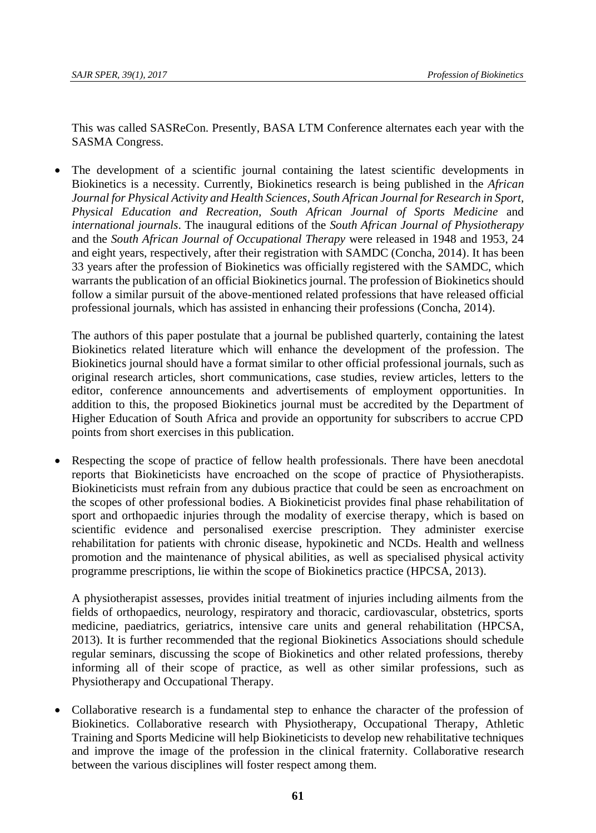This was called SASReCon. Presently, BASA LTM Conference alternates each year with the SASMA Congress.

 The development of a scientific journal containing the latest scientific developments in Biokinetics is a necessity. Currently, Biokinetics research is being published in the *African Journal for Physical Activity and Health Sciences, South African Journal for Research in Sport, Physical Education and Recreation, South African Journal of Sports Medicine* and *international journals*. The inaugural editions of the *South African Journal of Physiotherapy* and the *South African Journal of Occupational Therapy* were released in 1948 and 1953, 24 and eight years, respectively, after their registration with SAMDC (Concha, 2014). It has been 33 years after the profession of Biokinetics was officially registered with the SAMDC, which warrants the publication of an official Biokinetics journal. The profession of Biokinetics should follow a similar pursuit of the above-mentioned related professions that have released official professional journals, which has assisted in enhancing their professions (Concha, 2014).

The authors of this paper postulate that a journal be published quarterly, containing the latest Biokinetics related literature which will enhance the development of the profession. The Biokinetics journal should have a format similar to other official professional journals, such as original research articles, short communications, case studies, review articles, letters to the editor, conference announcements and advertisements of employment opportunities. In addition to this, the proposed Biokinetics journal must be accredited by the Department of Higher Education of South Africa and provide an opportunity for subscribers to accrue CPD points from short exercises in this publication.

 Respecting the scope of practice of fellow health professionals. There have been anecdotal reports that Biokineticists have encroached on the scope of practice of Physiotherapists. Biokineticists must refrain from any dubious practice that could be seen as encroachment on the scopes of other professional bodies. A Biokineticist provides final phase rehabilitation of sport and orthopaedic injuries through the modality of exercise therapy, which is based on scientific evidence and personalised exercise prescription. They administer exercise rehabilitation for patients with chronic disease, hypokinetic and NCDs. Health and wellness promotion and the maintenance of physical abilities, as well as specialised physical activity programme prescriptions, lie within the scope of Biokinetics practice (HPCSA, 2013).

A physiotherapist assesses, provides initial treatment of injuries including ailments from the fields of orthopaedics, neurology, respiratory and thoracic, cardiovascular, obstetrics, sports medicine, paediatrics, geriatrics, intensive care units and general rehabilitation (HPCSA, 2013). It is further recommended that the regional Biokinetics Associations should schedule regular seminars, discussing the scope of Biokinetics and other related professions, thereby informing all of their scope of practice, as well as other similar professions, such as Physiotherapy and Occupational Therapy.

 Collaborative research is a fundamental step to enhance the character of the profession of Biokinetics. Collaborative research with Physiotherapy, Occupational Therapy, Athletic Training and Sports Medicine will help Biokineticists to develop new rehabilitative techniques and improve the image of the profession in the clinical fraternity. Collaborative research between the various disciplines will foster respect among them.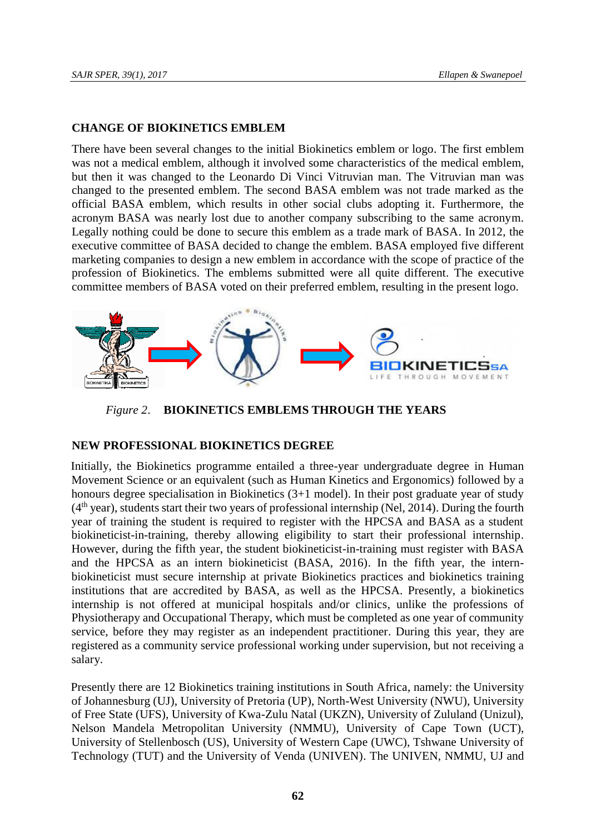### **CHANGE OF BIOKINETICS EMBLEM**

There have been several changes to the initial Biokinetics emblem or logo. The first emblem was not a medical emblem, although it involved some characteristics of the medical emblem, but then it was changed to the Leonardo Di Vinci Vitruvian man. The Vitruvian man was changed to the presented emblem. The second BASA emblem was not trade marked as the official BASA emblem, which results in other social clubs adopting it. Furthermore, the acronym BASA was nearly lost due to another company subscribing to the same acronym. Legally nothing could be done to secure this emblem as a trade mark of BASA. In 2012, the executive committee of BASA decided to change the emblem. BASA employed five different marketing companies to design a new emblem in accordance with the scope of practice of the profession of Biokinetics. The emblems submitted were all quite different. The executive committee members of BASA voted on their preferred emblem, resulting in the present logo.



*Figure 2*. **BIOKINETICS EMBLEMS THROUGH THE YEARS**

# **NEW PROFESSIONAL BIOKINETICS DEGREE**

Initially, the Biokinetics programme entailed a three-year undergraduate degree in Human Movement Science or an equivalent (such as Human Kinetics and Ergonomics) followed by a honours degree specialisation in Biokinetics (3+1 model). In their post graduate year of study  $(4<sup>th</sup>$  year), students start their two years of professional internship (Nel, 2014). During the fourth year of training the student is required to register with the HPCSA and BASA as a student biokineticist-in-training, thereby allowing eligibility to start their professional internship. However, during the fifth year, the student biokineticist-in-training must register with BASA and the HPCSA as an intern biokineticist (BASA, 2016). In the fifth year, the internbiokineticist must secure internship at private Biokinetics practices and biokinetics training institutions that are accredited by BASA, as well as the HPCSA. Presently, a biokinetics internship is not offered at municipal hospitals and/or clinics, unlike the professions of Physiotherapy and Occupational Therapy, which must be completed as one year of community service, before they may register as an independent practitioner. During this year, they are registered as a community service professional working under supervision, but not receiving a salary.

Presently there are 12 Biokinetics training institutions in South Africa, namely: the University of Johannesburg (UJ), University of Pretoria (UP), North-West University (NWU), University of Free State (UFS), University of Kwa-Zulu Natal (UKZN), University of Zululand (Unizul), Nelson Mandela Metropolitan University (NMMU), University of Cape Town (UCT), University of Stellenbosch (US), University of Western Cape (UWC), Tshwane University of Technology (TUT) and the University of Venda (UNIVEN). The UNIVEN, NMMU, UJ and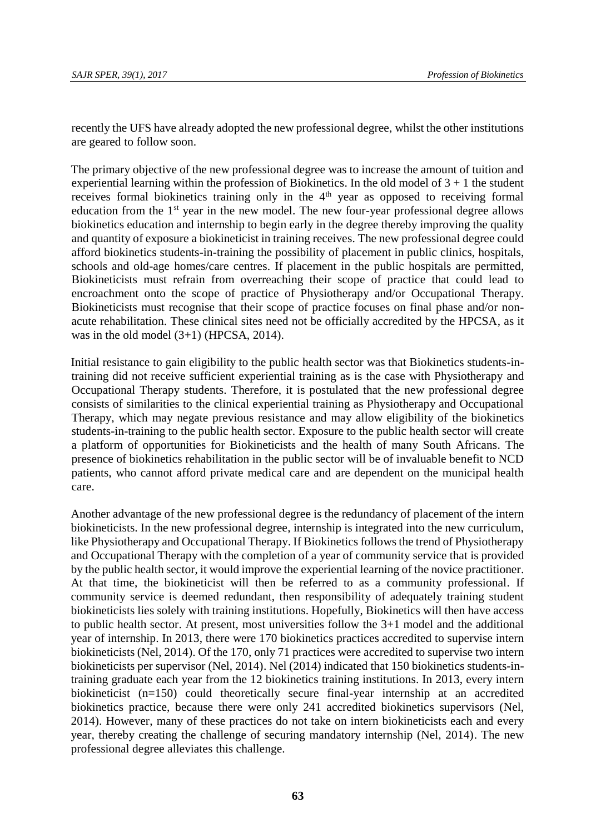recently the UFS have already adopted the new professional degree, whilst the other institutions are geared to follow soon.

The primary objective of the new professional degree was to increase the amount of tuition and experiential learning within the profession of Biokinetics. In the old model of  $3 + 1$  the student receives formal biokinetics training only in the  $4<sup>th</sup>$  year as opposed to receiving formal education from the  $1<sup>st</sup>$  year in the new model. The new four-year professional degree allows biokinetics education and internship to begin early in the degree thereby improving the quality and quantity of exposure a biokineticist in training receives. The new professional degree could afford biokinetics students-in-training the possibility of placement in public clinics, hospitals, schools and old-age homes/care centres. If placement in the public hospitals are permitted, Biokineticists must refrain from overreaching their scope of practice that could lead to encroachment onto the scope of practice of Physiotherapy and/or Occupational Therapy. Biokineticists must recognise that their scope of practice focuses on final phase and/or nonacute rehabilitation. These clinical sites need not be officially accredited by the HPCSA, as it was in the old model  $(3+1)$  (HPCSA, 2014).

Initial resistance to gain eligibility to the public health sector was that Biokinetics students-intraining did not receive sufficient experiential training as is the case with Physiotherapy and Occupational Therapy students. Therefore, it is postulated that the new professional degree consists of similarities to the clinical experiential training as Physiotherapy and Occupational Therapy, which may negate previous resistance and may allow eligibility of the biokinetics students-in-training to the public health sector. Exposure to the public health sector will create a platform of opportunities for Biokineticists and the health of many South Africans. The presence of biokinetics rehabilitation in the public sector will be of invaluable benefit to NCD patients, who cannot afford private medical care and are dependent on the municipal health care.

Another advantage of the new professional degree is the redundancy of placement of the intern biokineticists. In the new professional degree, internship is integrated into the new curriculum, like Physiotherapy and Occupational Therapy. If Biokinetics follows the trend of Physiotherapy and Occupational Therapy with the completion of a year of community service that is provided by the public health sector, it would improve the experiential learning of the novice practitioner. At that time, the biokineticist will then be referred to as a community professional. If community service is deemed redundant, then responsibility of adequately training student biokineticists lies solely with training institutions. Hopefully, Biokinetics will then have access to public health sector. At present, most universities follow the 3+1 model and the additional year of internship. In 2013, there were 170 biokinetics practices accredited to supervise intern biokineticists (Nel, 2014). Of the 170, only 71 practices were accredited to supervise two intern biokineticists per supervisor (Nel, 2014). Nel (2014) indicated that 150 biokinetics students-intraining graduate each year from the 12 biokinetics training institutions. In 2013, every intern biokineticist (n=150) could theoretically secure final-year internship at an accredited biokinetics practice, because there were only 241 accredited biokinetics supervisors (Nel, 2014). However, many of these practices do not take on intern biokineticists each and every year, thereby creating the challenge of securing mandatory internship (Nel, 2014). The new professional degree alleviates this challenge.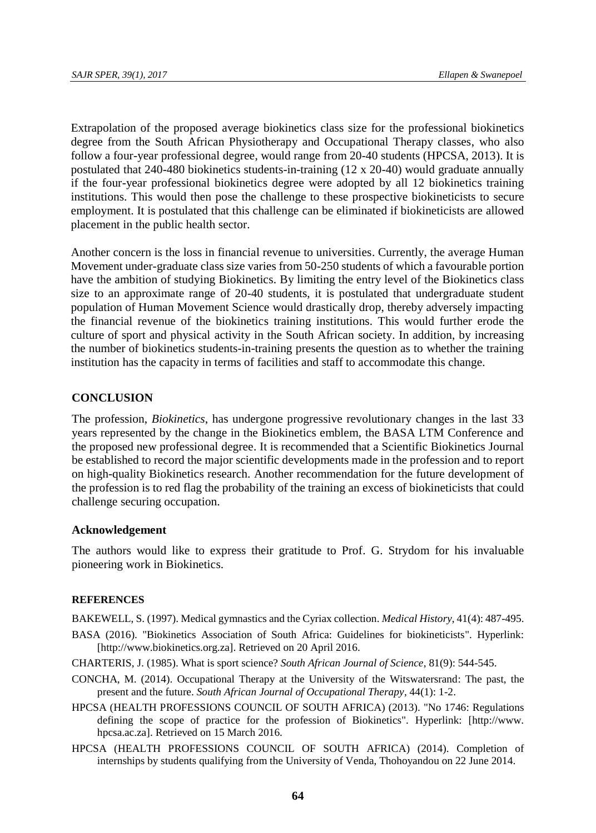Extrapolation of the proposed average biokinetics class size for the professional biokinetics degree from the South African Physiotherapy and Occupational Therapy classes, who also follow a four-year professional degree, would range from 20-40 students (HPCSA, 2013). It is postulated that 240-480 biokinetics students-in-training (12 x 20-40) would graduate annually if the four-year professional biokinetics degree were adopted by all 12 biokinetics training institutions. This would then pose the challenge to these prospective biokineticists to secure employment. It is postulated that this challenge can be eliminated if biokineticists are allowed placement in the public health sector.

Another concern is the loss in financial revenue to universities. Currently, the average Human Movement under-graduate class size varies from 50-250 students of which a favourable portion have the ambition of studying Biokinetics. By limiting the entry level of the Biokinetics class size to an approximate range of 20-40 students, it is postulated that undergraduate student population of Human Movement Science would drastically drop, thereby adversely impacting the financial revenue of the biokinetics training institutions. This would further erode the culture of sport and physical activity in the South African society. In addition, by increasing the number of biokinetics students-in-training presents the question as to whether the training institution has the capacity in terms of facilities and staff to accommodate this change.

#### **CONCLUSION**

The profession, *Biokinetics*, has undergone progressive revolutionary changes in the last 33 years represented by the change in the Biokinetics emblem, the BASA LTM Conference and the proposed new professional degree. It is recommended that a Scientific Biokinetics Journal be established to record the major scientific developments made in the profession and to report on high-quality Biokinetics research. Another recommendation for the future development of the profession is to red flag the probability of the training an excess of biokineticists that could challenge securing occupation.

#### **Acknowledgement**

The authors would like to express their gratitude to Prof. G. Strydom for his invaluable pioneering work in Biokinetics.

#### **REFERENCES**

BAKEWELL, S. (1997). Medical gymnastics and the Cyriax collection. *Medical History*, 41(4): 487-495.

- BASA (2016). "Biokinetics Association of South Africa: Guidelines for biokineticists". Hyperlink: [http://www.biokinetics.org.za]. Retrieved on 20 April 2016.
- CHARTERIS, J. (1985). What is sport science? *South African Journal of Science*, 81(9): 544-545.
- CONCHA, M. (2014). Occupational Therapy at the University of the Witswatersrand: The past, the present and the future. *South African Journal of Occupational Therapy*, 44(1): 1-2.
- HPCSA (HEALTH PROFESSIONS COUNCIL OF SOUTH AFRICA) (2013). "No 1746: Regulations defining the scope of practice for the profession of Biokinetics". Hyperlink: [http://www. hpcsa.ac.za]. Retrieved on 15 March 2016.
- HPCSA (HEALTH PROFESSIONS COUNCIL OF SOUTH AFRICA) (2014). Completion of internships by students qualifying from the University of Venda, Thohoyandou on 22 June 2014.